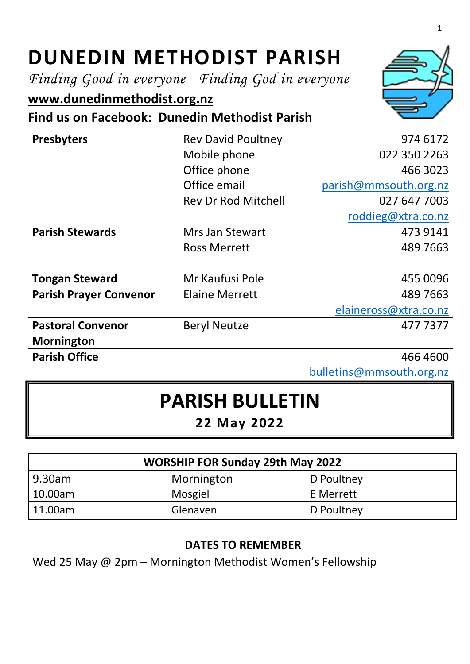# **DUNEDIN METHODIST PARISH**

*Finding Good in everyone Finding God in everyone*

# **[www.dunedinmethodist.org.nz](http://www.dunedinmethodist.org.nz/)**

**Find us on Facebook: Dunedin Methodist Parish**

| <b>Presbyters</b>             | <b>Rev David Poultney</b>  | 974 6172              |
|-------------------------------|----------------------------|-----------------------|
|                               | Mobile phone               | 022 350 2263          |
|                               | Office phone               | 466 3023              |
|                               | Office email               | parish@mmsouth.org.nz |
|                               | <b>Rev Dr Rod Mitchell</b> | 027 647 7003          |
|                               |                            | roddieg@xtra.co.nz    |
| <b>Parish Stewards</b>        | Mrs Jan Stewart            | 473 9141              |
|                               | <b>Ross Merrett</b>        | 489 7663              |
|                               |                            |                       |
| <b>Tongan Steward</b>         | Mr Kaufusi Pole            | 455 0096              |
| <b>Parish Prayer Convenor</b> | <b>Elaine Merrett</b>      | 489 7663              |
|                               |                            | elaineross@xtra.co.nz |
| <b>Pastoral Convenor</b>      | <b>Beryl Neutze</b>        | 4777377               |
| <b>Mornington</b>             |                            |                       |
| <b>Parish Office</b>          |                            | 466 4600              |

[bulletins@mmsouth.org.nz](mailto:bulletins@mmsouth.org.nz)

# **PARISH BULLETIN**

**22 May 2022**

| <b>WORSHIP FOR Sunday 29th May 2022</b> |                |            |  |
|-----------------------------------------|----------------|------------|--|
| 9.30am                                  | Mornington     | D Poultney |  |
| 10.00am                                 | <b>Mosgiel</b> | E Merrett  |  |
| 11.00am                                 | Glenaven       | D Poultney |  |
|                                         |                |            |  |

#### **DATES TO REMEMBER**

Wed 25 May @ 2pm – Mornington Methodist Women's Fellowship